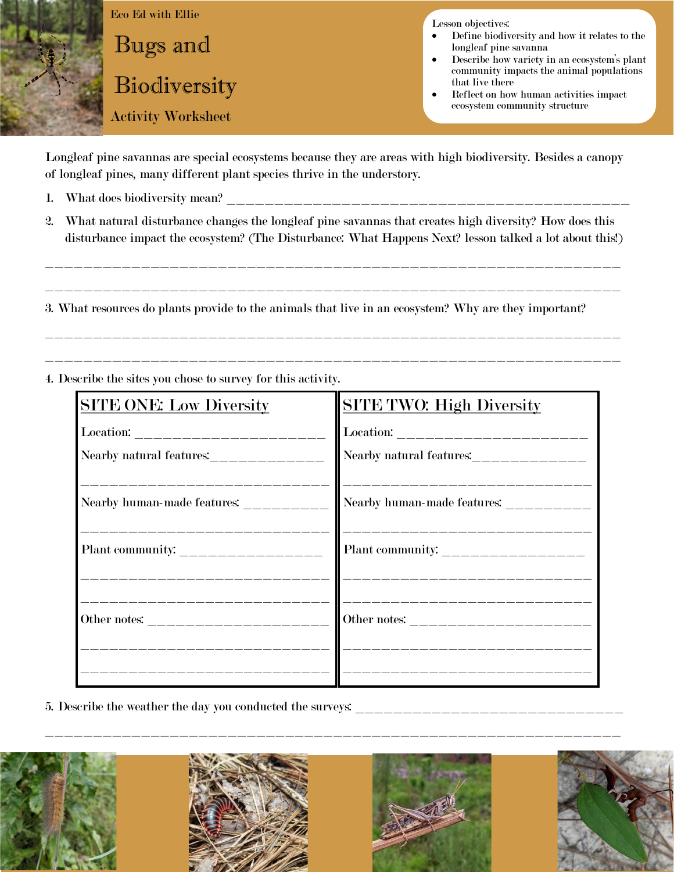

Longleaf pine savannas are special ecosystems because they are areas with high biodiversity. Besides a canopy of longleaf pines, many different plant species thrive in the understory.

- 1. What does biodiversity mean? \_\_\_\_\_\_\_\_\_\_\_\_\_\_\_\_\_\_\_\_\_\_\_\_\_\_\_\_\_\_\_\_\_\_\_\_\_\_\_\_\_\_
- 2. What natural disturbance changes the longleaf pine savannas that creates high diversity? How does this disturbance impact the ecosystem? (The Disturbance: What Happens Next? lesson talked a lot about this!)

\_\_\_\_\_\_\_\_\_\_\_\_\_\_\_\_\_\_\_\_\_\_\_\_\_\_\_\_\_\_\_\_\_\_\_\_\_\_\_\_\_\_\_\_\_\_\_\_\_\_\_\_\_\_\_\_\_\_\_\_

\_\_\_\_\_\_\_\_\_\_\_\_\_\_\_\_\_\_\_\_\_\_\_\_\_\_\_\_\_\_\_\_\_\_\_\_\_\_\_\_\_\_\_\_\_\_\_\_\_\_\_\_\_\_\_\_\_\_\_\_

\_\_\_\_\_\_\_\_\_\_\_\_\_\_\_\_\_\_\_\_\_\_\_\_\_\_\_\_\_\_\_\_\_\_\_\_\_\_\_\_\_\_\_\_\_\_\_\_\_\_\_\_\_\_\_\_\_\_\_\_

\_\_\_\_\_\_\_\_\_\_\_\_\_\_\_\_\_\_\_\_\_\_\_\_\_\_\_\_\_\_\_\_\_\_\_\_\_\_\_\_\_\_\_\_\_\_\_\_\_\_\_\_\_\_\_\_\_\_\_\_

3. What resources do plants provide to the animals that live in an ecosystem? Why are they important?

4. Describe the sites you chose to survey for this activity.

| <b>SITE ONE: Low Diversity</b>                                                          | <b>SITE TWO: High Diversity</b>                                                                                                                                                                                                                                                                                                                                                                                                                                                                                                            |
|-----------------------------------------------------------------------------------------|--------------------------------------------------------------------------------------------------------------------------------------------------------------------------------------------------------------------------------------------------------------------------------------------------------------------------------------------------------------------------------------------------------------------------------------------------------------------------------------------------------------------------------------------|
|                                                                                         | $\textbf{Location:}\textcolor{red}{---}{\textbf{---}}{\textbf{---}}{\textbf{---}}{\textbf{---}}{\textbf{---}}{\textbf{---}}{\textbf{---}}{\textbf{---}}{\textbf{---}}{\textbf{---}}{\textbf{---}}{\textbf{---}}{\textbf{---}}{\textbf{---}}{\textbf{---}}{\textbf{---}}{\textbf{---}}{\textbf{---}}{\textbf{---}}{\textbf{---}}{\textbf{---}}{\textbf{---}}{\textbf{---}}{\textbf{---}}{\textbf{---}}{\textbf{---}}{\textbf{---}}{\textbf{---}}{\textbf{---}}{\textbf{---}}{\textbf{---}}{\textbf{---}}{\textbf{---}}{\textbf{---}}{\text$ |
|                                                                                         |                                                                                                                                                                                                                                                                                                                                                                                                                                                                                                                                            |
| _________________<br>Nearby human-made features: __________<br>________________________ | Nearby human-made features: _________<br>____________________________                                                                                                                                                                                                                                                                                                                                                                                                                                                                      |
|                                                                                         |                                                                                                                                                                                                                                                                                                                                                                                                                                                                                                                                            |
| __________________<br><u> 2002 - 2003 - 2004 - 2004 - 20</u>                            | _________________________                                                                                                                                                                                                                                                                                                                                                                                                                                                                                                                  |

5. Describe the weather the day you conducted the surveys: \_\_\_\_\_\_\_\_\_\_\_\_\_\_\_\_\_\_\_\_\_\_\_\_\_\_\_\_



\_\_\_\_\_\_\_\_\_\_\_\_\_\_\_\_\_\_\_\_\_\_\_\_\_\_\_\_\_\_\_\_\_\_\_\_\_\_\_\_\_\_\_\_\_\_\_\_\_\_\_\_\_\_\_\_\_\_\_\_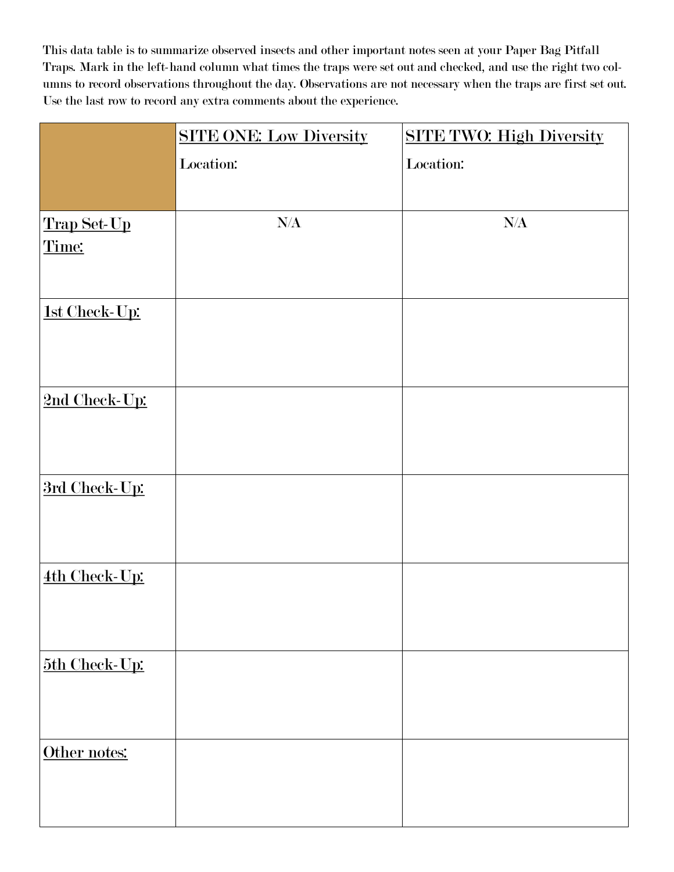This data table is to summarize observed insects and other important notes seen at your Paper Bag Pitfall Traps. Mark in the left-hand column what times the traps were set out and checked, and use the right two columns to record observations throughout the day. Observations are not necessary when the traps are first set out. Use the last row to record any extra comments about the experience.

|               | <b>SITE ONE: Low Diversity</b> | <b>SITE TWO: High Diversity</b> |
|---------------|--------------------------------|---------------------------------|
|               | Location:                      | Location:                       |
|               |                                |                                 |
| Trap Set-Up   | $\rm N\!/\!A$                  | $\rm N\!/\!A$                   |
| Time:         |                                |                                 |
| 1st Check-Up: |                                |                                 |
| 2nd Check-Up: |                                |                                 |
| 3rd Check-Up: |                                |                                 |
| 4th Check-Up: |                                |                                 |
| 5th Check-Up: |                                |                                 |
| Other notes:  |                                |                                 |